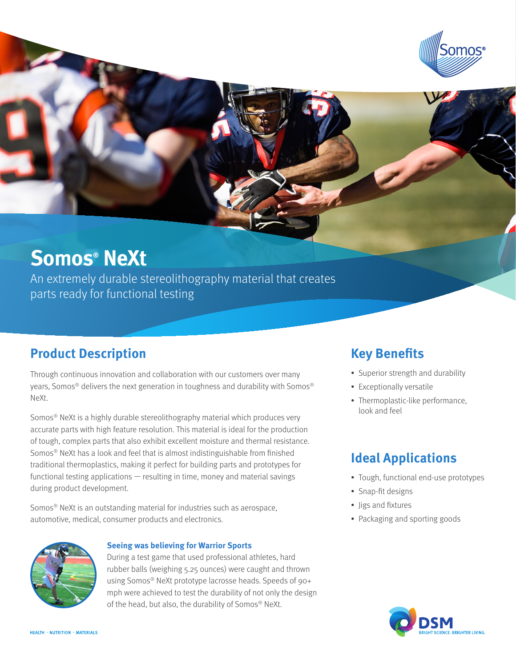

# **Somos® NeXt**

An extremely durable stereolithography material that creates parts ready for functional testing

### **Product Description**

Through continuous innovation and collaboration with our customers over many years, Somos® delivers the next generation in toughness and durability with Somos® NeXt.

Somos® NeXt is a highly durable stereolithography material which produces very accurate parts with high feature resolution. This material is ideal for the production of tough, complex parts that also exhibit excellent moisture and thermal resistance. Somos® NeXt has a look and feel that is almost indistinguishable from finished traditional thermoplastics, making it perfect for building parts and prototypes for functional testing applications — resulting in time, money and material savings during product development.

Somos® NeXt is an outstanding material for industries such as aerospace, automotive, medical, consumer products and electronics.



#### **Seeing was believing for Warrior Sports**

During a test game that used professional athletes, hard rubber balls (weighing 5.25 ounces) were caught and thrown using Somos® NeXt prototype lacrosse heads. Speeds of 90+ mph were achieved to test the durability of not only the design of the head, but also, the durability of Somos® NeXt.

### **Key Benefits**

- Superior strength and durability
- Exceptionally versatile
- Thermoplastic-like performance, look and feel

### **Ideal Applications**

- Tough, functional end-use prototypes
- Snap-fit designs
- Jigs and fixtures
- Packaging and sporting goods